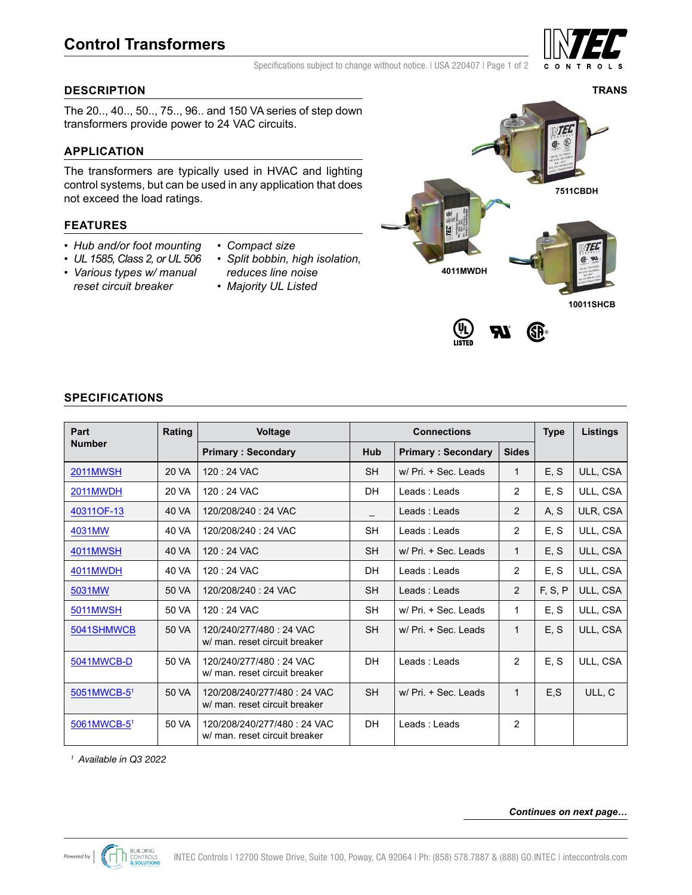

Specifications subject to change without notice. | USA 220407 | Page 1 of 2

# **DESCRIPTION**

The 20.., 40.., 50.., 75.., 96.. and 150 VA series of step down transformers provide power to 24 VAC circuits.

# **APPLICATION**

The transformers are typically used in HVAC and lighting control systems, but can be used in any application that does not exceed the load ratings.

# **FEATURES**

- *Hub and/or foot mounting*
- *UL 1585, Class 2, or UL 506*
- *Various types w/ manual reset circuit breaker*
- *Compact size*
- *Split bobbin, high isolation, reduces line noise*
- *Majority UL Listed*



SP

# **SPECIFICATIONS**

| Part            | Rating<br>Voltage<br><b>Connections</b> |                                                              |           |                           | <b>Type</b>    | <b>Listings</b> |          |
|-----------------|-----------------------------------------|--------------------------------------------------------------|-----------|---------------------------|----------------|-----------------|----------|
| <b>Number</b>   |                                         | <b>Primary: Secondary</b>                                    | Hub       | <b>Primary: Secondary</b> | <b>Sides</b>   |                 |          |
| <b>2011MWSH</b> | 20 VA                                   | $120:24$ VAC                                                 | <b>SH</b> | $w/ Pri. + Sec.$ Leads    | 1              | E, S            | ULL, CSA |
| 2011MWDH        | 20 VA                                   | 120:24 VAC                                                   | DH        | Leads: Leads              | $\overline{2}$ | E, S            | ULL, CSA |
| 40311OF-13      | 40 VA                                   | 120/208/240: 24 VAC                                          |           | Leads: Leads              | 2              | A, S            | ULR, CSA |
| 4031MW          | 40 VA                                   | 120/208/240: 24 VAC                                          | <b>SH</b> | Leads: Leads              | $\overline{2}$ | E, S            | ULL, CSA |
| <b>4011MWSH</b> | 40 VA                                   | 120:24 VAC                                                   | <b>SH</b> | $w/ Pri. + Sec.$ Leads    | $\mathbf{1}$   | E, S            | ULL, CSA |
| 4011MWDH        | 40 VA                                   | 120:24 VAC                                                   | DH        | Leads: Leads              | $\overline{2}$ | E, S            | ULL, CSA |
| 5031MW          | 50 VA                                   | 120/208/240: 24 VAC                                          | <b>SH</b> | Leads: Leads              | 2              | F, S, P         | ULL, CSA |
| <b>5011MWSH</b> | 50 VA                                   | 120:24 VAC                                                   | <b>SH</b> | $w/ Pri. + Sec.$ Leads    | $\mathbf{1}$   | E, S            | ULL, CSA |
| 5041SHMWCB      | 50 VA                                   | 120/240/277/480: 24 VAC<br>w/ man. reset circuit breaker     | <b>SH</b> | $w/ Pri. + Sec.$ Leads    | 1              | E, S            | ULL, CSA |
| 5041MWCB-D      | 50 VA                                   | 120/240/277/480: 24 VAC<br>w/ man. reset circuit breaker     | <b>DH</b> | Leads: Leads              | $\overline{2}$ | E.S             | ULL, CSA |
| 5051MWCB-51     | 50 VA                                   | 120/208/240/277/480: 24 VAC<br>w/ man. reset circuit breaker | <b>SH</b> | w/ Pri. + Sec. Leads      | $\mathbf{1}$   | E.S             | ULL, C   |
| 5061MWCB-51     | 50 VA                                   | 120/208/240/277/480: 24 VAC<br>w/ man. reset circuit breaker | DH        | Leads : Leads             | $\overline{2}$ |                 |          |

*<sup>1</sup> Available in Q3 2022*

#### *Continues on next page…*



**TRANS**